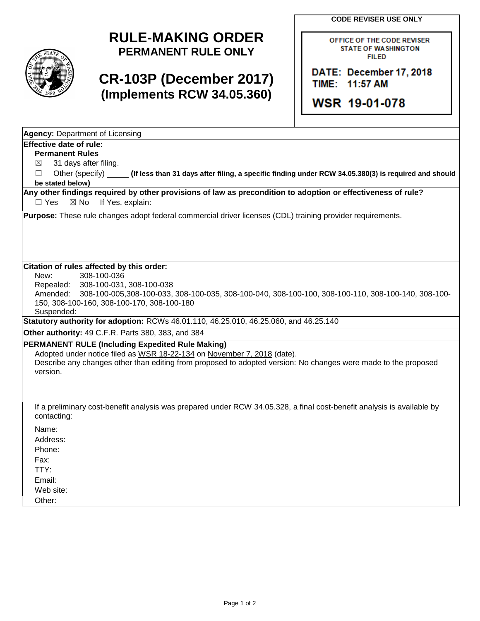**CODE REVISER USE ONLY**



# **RULE-MAKING ORDER PERMANENT RULE ONLY**

# **CR-103P (December 2017) (Implements RCW 34.05.360)**

OFFICE OF THE CODE REVISER **STATE OF WASHINGTON FILED** 

DATE: December 17, 2018 TIME: 11:57 AM

**WSR 19-01-078** 

| <b>Agency: Department of Licensing</b> |
|----------------------------------------|
| <b>Effective date of rule:</b>         |

#### **Permanent Rules**

 $\boxtimes$  31 days after filing.

☐ Other (specify) **(If less than 31 days after filing, a specific finding under RCW 34.05.380(3) is required and should be stated below)**

**Any other findings required by other provisions of law as precondition to adoption or effectiveness of rule?**  $\Box$  Yes  $\boxtimes$  No If Yes, explain:

**Purpose:** These rule changes adopt federal commercial driver licenses (CDL) training provider requirements.

#### **Citation of rules affected by this order:**

New: 308-100-036

Repealed: 308-100-031, 308-100-038 Amended: 308-100-005,308-100-033, 308-100-035, 308-100-040, 308-100-100, 308-100-110, 308-100-140, 308-100- 150, 308-100-160, 308-100-170, 308-100-180

Suspended:

**Statutory authority for adoption:** RCWs 46.01.110, 46.25.010, 46.25.060, and 46.25.140

**Other authority:** 49 C.F.R. Parts 380, 383, and 384

### **PERMANENT RULE (Including Expedited Rule Making)**

Adopted under notice filed as WSR 18-22-134 on November 7, 2018 (date).

Describe any changes other than editing from proposed to adopted version: No changes were made to the proposed version.

If a preliminary cost-benefit analysis was prepared under RCW 34.05.328, a final cost-benefit analysis is available by contacting:

Name:

Address:

Phone:

Fax:

TTY:

Email:

Web site:

Other: